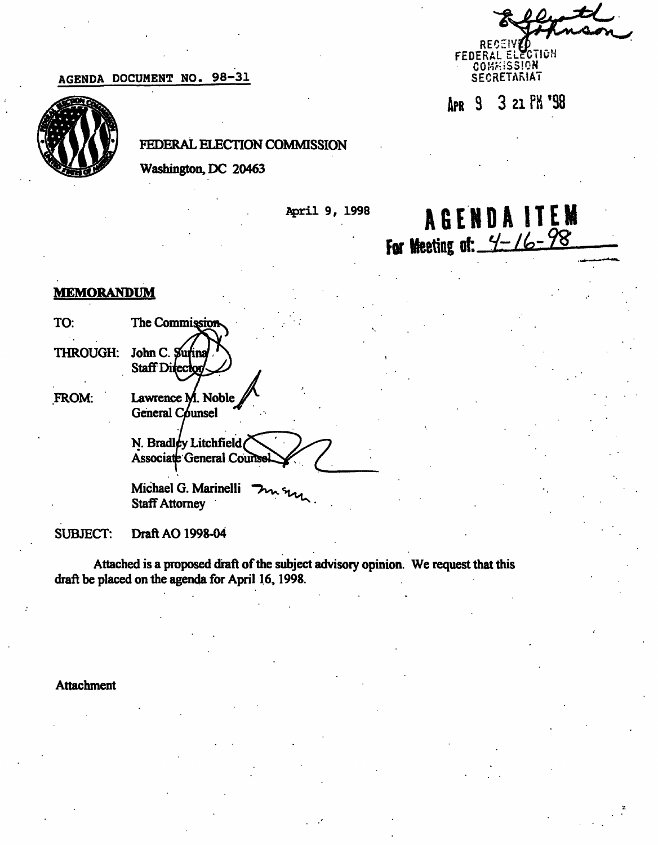REC^IV FEDERAL ELECTION

## AGENDA DOCUMENT NO. 98-31



FEDERAL ELECTION COMMISSION

Washington, DC 20463

# 9, 1998 AGENDA ITEM

COMMISSION **SECRETARIAT** 

9 32iPH <sup>f</sup> !

For Meeting of:  $\mathcal{L}$ 

**APR** 

#### MEMORANDUM

| TO:             | The Commission                                            |
|-----------------|-----------------------------------------------------------|
| <b>THROUGH:</b> | John C. Surina<br>Staff Director/                         |
| FROM:           | Lawrence M. Noble<br>General Counsel                      |
|                 | N. Bradley Litchfield<br><b>Associate General Counsel</b> |
|                 | Michael G. Marinelli<br>mann.<br><b>Staff Attorney</b>    |

SUBJECT: Draft AO 1998-04

Attached is a proposed draft of the subject advisory opinion. We request that this draft be placed on the agenda for April 16,1998.

### Attachment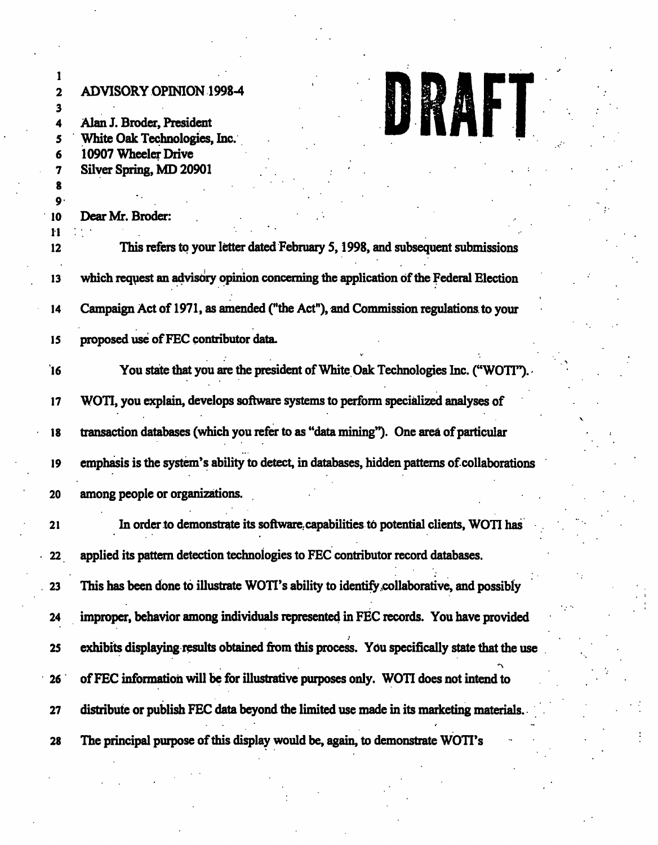| 2        | <b>ADVISORY OPINION 1998-4</b>                                                              |  |
|----------|---------------------------------------------------------------------------------------------|--|
| 3<br>4   | 教组件<br>Alan J. Broder, President                                                            |  |
| 5<br>6   | White Oak Technologies, Inc.<br>10907 Wheeler Drive                                         |  |
| 7        | Silver Spring, MD 20901                                                                     |  |
| 9<br>10  | Dear Mr. Broder:                                                                            |  |
| 11<br>12 | This refers to your letter dated February 5, 1998, and subsequent submissions               |  |
| 13       | which request an advisory opinion concerning the application of the Federal Election        |  |
| 14       | Campaign Act of 1971, as amended ("the Act"), and Commission regulations to your            |  |
| 15       | proposed use of FEC contributor data.                                                       |  |
| 16       | You state that you are the president of White Oak Technologies Inc. ("WOTI").               |  |
| 17       | WOTI, you explain, develops software systems to perform specialized analyses of             |  |
| 18       | transaction databases (which you refer to as "data mining"). One area of particular         |  |
| 19       | emphasis is the system's ability to detect, in databases, hidden patterns of collaborations |  |
| 20       | among people or organizations.                                                              |  |
| 21       | In order to demonstrate its software capabilities to potential clients, WOTI has            |  |
| $-22$    | applied its pattern detection technologies to FEC contributor record databases.             |  |
| 23       | This has been done to illustrate WOTI's ability to identify collaborative, and possibly     |  |
| 24       | improper, behavior among individuals represented in FEC records. You have provided          |  |
| 25       | exhibits displaying results obtained from this process. You specifically state that the use |  |
| 26       | of FEC information will be for illustrative purposes only. WOTI does not intend to          |  |
| 27       | distribute or publish FEC data beyond the limited use made in its marketing materials.      |  |
| 28       | The principal purpose of this display would be, again, to demonstrate WOTI's                |  |
|          |                                                                                             |  |
|          |                                                                                             |  |
|          |                                                                                             |  |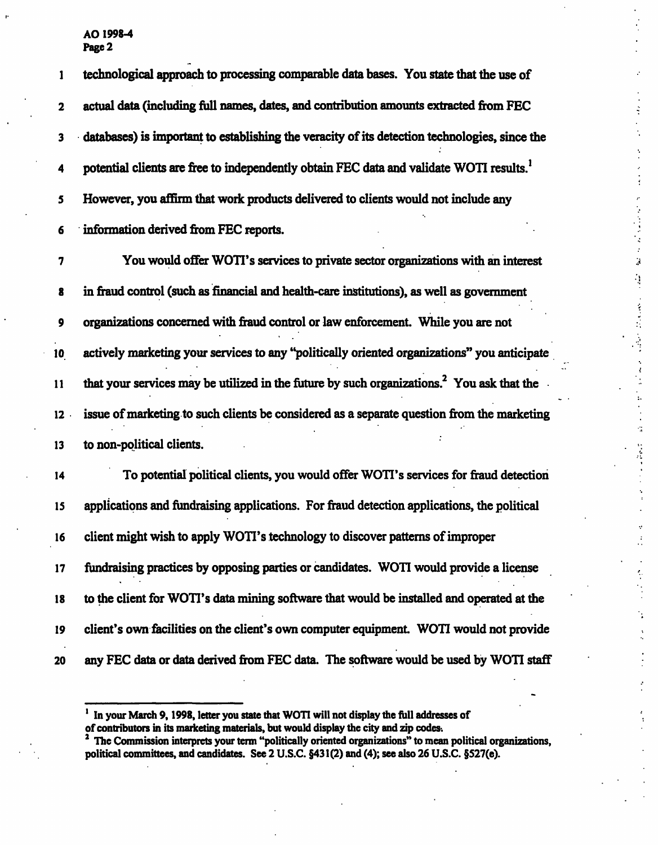| 1             | technological approach to processing comparable data bases. You state that the use of                 |
|---------------|-------------------------------------------------------------------------------------------------------|
| $\mathbf{2}$  | actual data (including full names, dates, and contribution amounts extracted from FEC                 |
| 3             | databases) is important to establishing the veracity of its detection technologies, since the         |
| 4             | potential clients are free to independently obtain FEC data and validate WOTI results. <sup>1</sup>   |
| 5             | However, you affirm that work products delivered to clients would not include any                     |
| 6             | information derived from FEC reports.                                                                 |
| 7             | You would offer WOTI's services to private sector organizations with an interest                      |
| 8             | in fraud control (such as financial and health-care institutions), as well as government              |
| 9             | organizations concerned with fraud control or law enforcement. While you are not                      |
| $\mathbf{10}$ | actively marketing your services to any "politically oriented organizations" you anticipate           |
| 11            | that your services may be utilized in the future by such organizations. <sup>2</sup> You ask that the |
| $12 -$        | issue of marketing to such clients be considered as a separate question from the marketing            |
| 13            | to non-political clients.                                                                             |
| 14            | To potential political clients, you would offer WOTI's services for fraud detection                   |
| 15            | applications and fundraising applications. For fraud detection applications, the political            |
| 16            | client might wish to apply WOTI's technology to discover patterns of improper                         |
| 17            | fundraising practices by opposing parties or candidates. WOTI would provide a license                 |
| 18            | to the client for WOTI's data mining software that would be installed and operated at the             |
| 19            | client's own facilities on the client's own computer equipment. WOTI would not provide                |
| 20            | any FEC data or data derived from FEC data. The software would be used by WOTI staff                  |

 $\mathcal{I}$ 

÷.

<sup>1</sup> In your March 9, 1998, letter you state that WOTI will not display the full addresses of

of contributors in its marketing materials, but would display the city and zip codes.<br><sup>2</sup> The Commission interprets your term "politically oriented organizations" to mean political organizations, political committees, and candidates. See 2 U.S.C. §431(2) and (4); see also 26 U.S.C. §S27(e).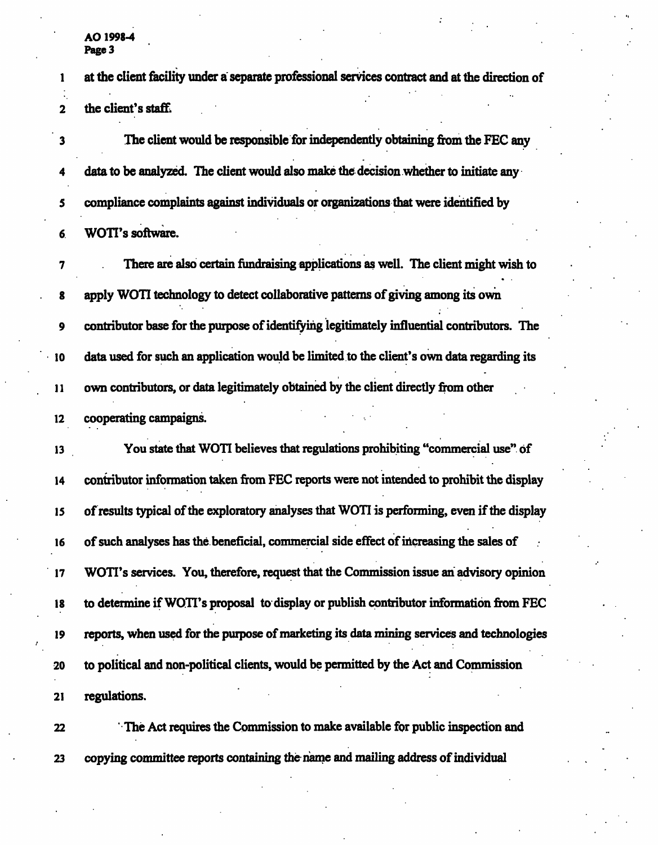1 at the client facility under a separate professional services contract and at the direction of 2 the client's staff.

3 The client would be responsible for independently obtaining from the FEC any 4 data to be analyzed. The client would also make the decision whether to initiate any 5 compliance complaints against individuals or organizations that were identified by 6 WOTTs software.

7 There are also certain fundraising applications as well. The client might wish to • 8 apply WOTI technology to detect collaborative patterns of giving among its own 9 contributor base for the purpose of identifying legitimately influential contributors. The 10 data used for such an application would be limited to the client's own data regarding its 11 own contributors, or data legitimately obtained by the client directly from other 12 cooperating campaigns.

13 You state that WOTI believes that regulations prohibiting "commercial use" of 14 contributor information taken from FEC reports were not intended to prohibit the display 15 of results typical of the exploratory analyses that WOTI is performing, even if the display 16 of such analyses has the beneficial, commercial side effect of increasing the sales of 17 WOTI's services. You, therefore, request that the Commission issue an advisory opinion 18 to determine if WOTI's proposal to display or publish contributor information from FEC 19 reports, when used for the purpose of marketing its data mining services and technologies 20 to political and non-political clients, would be permitted by the Act and Commission 21 regulations.

22 ' The Act requires the Commission to make available for public inspection and 23 copying committee reports containing the name and mailing address of individual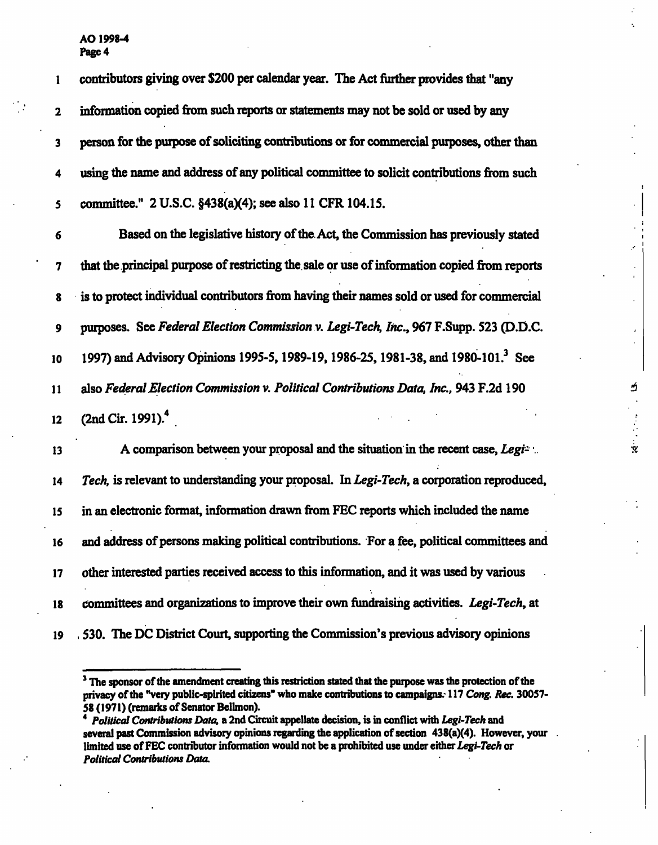|              | contributors giving over \$200 per calendar year. The Act further provides that "any          |
|--------------|-----------------------------------------------------------------------------------------------|
| $\mathbf{2}$ | information copied from such reports or statements may not be sold or used by any             |
| 3            | person for the purpose of soliciting contributions or for commercial purposes, other than     |
| 4            | using the name and address of any political committee to solicit contributions from such      |
| 5            | committee." 2 U.S.C. §438(a)(4); see also 11 CFR 104.15.                                      |
| 6            | Based on the legislative history of the Act, the Commission has previously stated             |
| 7            | that the principal purpose of restricting the sale or use of information copied from reports  |
| 8            | is to protect individual contributors from having their names sold or used for commercial     |
| 9            | purposes. See Federal Election Commission v. Legi-Tech, Inc., 967 F.Supp. 523 (D.D.C.         |
| 10           | 1997) and Advisory Opinions 1995-5, 1989-19, 1986-25, 1981-38, and 1980-101. <sup>3</sup> See |
| 11           | also Federal Election Commission v. Political Contributions Data, Inc., 943 F.2d 190          |

12 (2nd Cir. 1991).<sup>4</sup>

13 A comparison between your proposal and the situation in the recent case, Legi-14 Tech, is relevant to understanding your proposal. In Legi-Tech, a corporation reproduced, 15 in an electronic format, information drawn from FEC reports which included the name 16 and address of persons making political contributions. For a fee, political committees and 17 other interested parties received access to this information, and it was used by various 18 committees and organizations to improve their own fundraising activities. Legi-Tech, at 19 , 530. The DC District Court, supporting the Commission's previous advisory opinions

á

्रं

<sup>&</sup>lt;sup>3</sup> The sponsor of the amendment creating this restriction stated that the purpose was the protection of the privacy of the "very public-spirited citizens" who make contributions to campaigns. 117 Cong. Rec. 30057-58 (1971) (remarks of Senator Bellmon).<br>4. Belitiaal Contributions Data a 3nd Cit

Political Contributions Data, a 2nd Circuit appellate decision, is in conflict with Legi-Tech and several past Commission advisory opinions regarding the application of section 438(a)(4). However, your limited use of FEC contributor information would not be a prohibited use under either Legi-Tech or Political Contributions Data.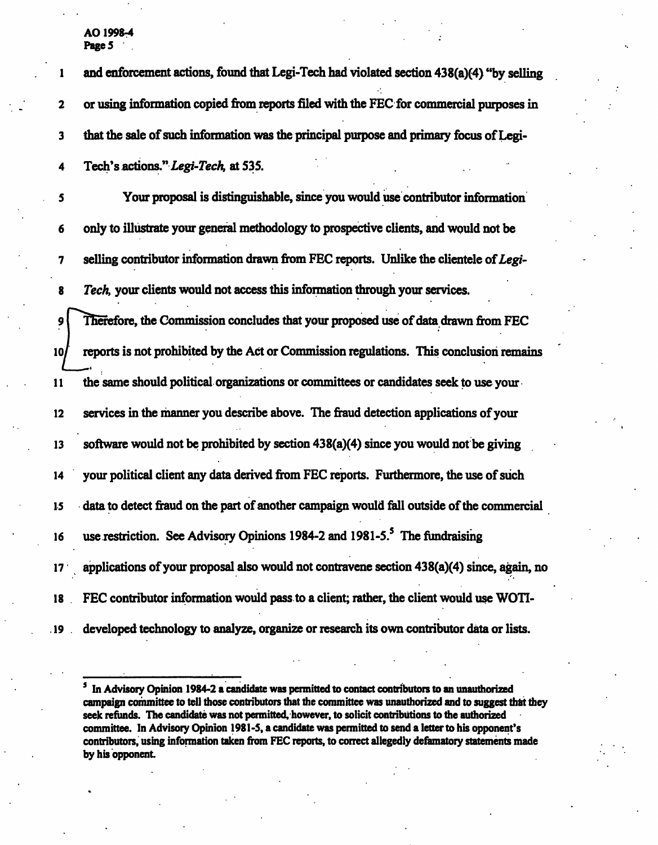| $\mathbf{1}$    | and enforcement actions, found that Legi-Tech had violated section 438(a)(4) "by selling   |
|-----------------|--------------------------------------------------------------------------------------------|
| $\mathbf 2$     | or using information copied from reports filed with the FEC for commercial purposes in     |
| 3               | that the sale of such information was the principal purpose and primary focus of Legi-     |
| 4               | Tech's actions." Legi-Tech, at 535.                                                        |
| 5               | Your proposal is distinguishable, since you would use contributor information              |
| 6               | only to illustrate your general methodology to prospective clients, and would not be       |
| 7               | selling contributor information drawn from FEC reports. Unlike the clientele of Legi-      |
| 8               | Tech, your clients would not access this information through your services.                |
| $\overline{9}$  | Therefore, the Commission concludes that your proposed use of data drawn from FEC          |
| 10 <sub>l</sub> | reports is not prohibited by the Act or Commission regulations. This conclusion remains    |
| 11              | the same should political organizations or committees or candidates seek to use your       |
| 12              | services in the manner you describe above. The fraud detection applications of your        |
| 13              | software would not be prohibited by section 438(a)(4) since you would not be giving        |
| 14              | your political client any data derived from FEC reports. Furthermore, the use of such      |
| 15              | data to detect fraud on the part of another campaign would fall outside of the commercial  |
| 16              | use restriction. See Advisory Opinions 1984-2 and 1981-5. <sup>5</sup> The fundraising     |
| 17 <sup>1</sup> | applications of your proposal also would not contravene section 438(a)(4) since, again, no |
| 18              | FEC contributor information would pass to a client; rather, the client would use WOTI-     |
| . 19            | developed technology to analyze, organize or research its own contributor data or lists.   |

<sup>&</sup>lt;sup>5</sup> In Advisory Opinion 1984-2 a candidate was permitted to contact contributors to an unauthorized campaign committee to tell those contributors that the committee was unauthorized and to suggest that they seek refunds. The candidate was not permitted, however, to solicit contributions to the authorized committee. In Advisory Opinion 1981-5, a candidate was permitted to send a letter to his opponent's contributors, using information taken from FEC reports, to correct allegedly defamatory statements made by his opponent.